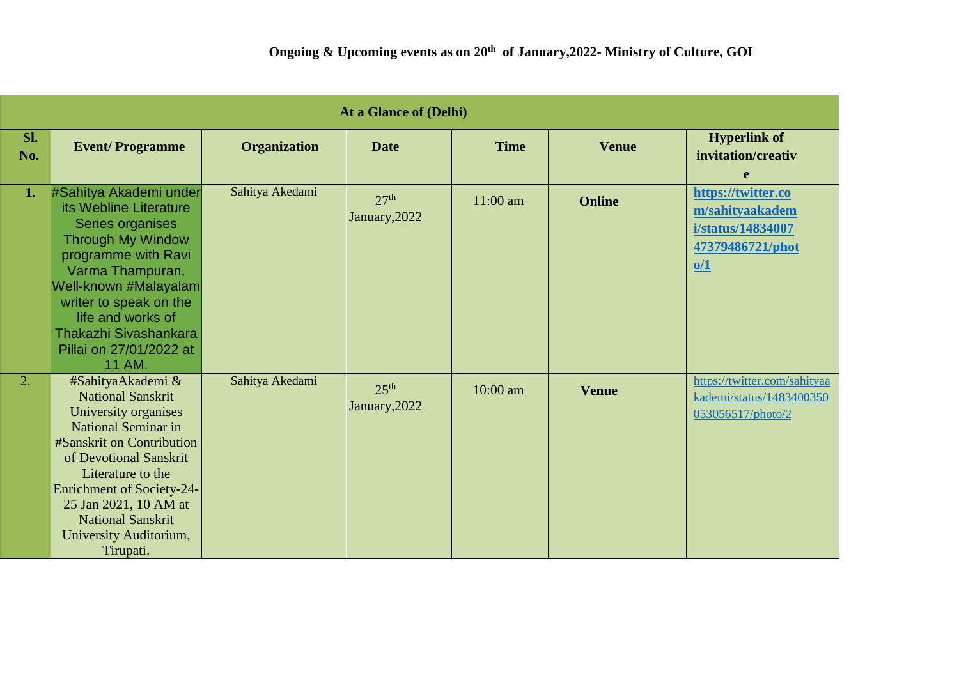| At a Glance of (Delhi) |                                                                                                                                                                                                                                                                                                   |                     |                                   |             |               |                                                                                       |  |
|------------------------|---------------------------------------------------------------------------------------------------------------------------------------------------------------------------------------------------------------------------------------------------------------------------------------------------|---------------------|-----------------------------------|-------------|---------------|---------------------------------------------------------------------------------------|--|
| Sl.<br>No.             | <b>Event/Programme</b>                                                                                                                                                                                                                                                                            | <b>Organization</b> | <b>Date</b>                       | <b>Time</b> | <b>Venue</b>  | <b>Hyperlink of</b><br>invitation/creativ<br>e                                        |  |
| 1.                     | #Sahitya Akademi under<br>its Webline Literature<br>Series organises<br><b>Through My Window</b><br>programme with Ravi<br>Varma Thampuran,<br>Well-known #Malayalam<br>writer to speak on the<br>life and works of<br>Thakazhi Sivashankara<br>Pillai on 27/01/2022 at<br>11 AM.                 | Sahitya Akedami     | 27 <sup>th</sup><br>January, 2022 | $11:00$ am  | <b>Online</b> | https://twitter.co<br>m/sahityaakadem<br>i/status/14834007<br>47379486721/phot<br>0/1 |  |
| 2.                     | #SahityaAkademi &<br><b>National Sanskrit</b><br>University organises<br>National Seminar in<br>#Sanskrit on Contribution<br>of Devotional Sanskrit<br>Literature to the<br>Enrichment of Society-24-<br>25 Jan 2021, 10 AM at<br><b>National Sanskrit</b><br>University Auditorium,<br>Tirupati. | Sahitya Akedami     | 25 <sup>th</sup><br>January, 2022 | 10:00 am    | <b>Venue</b>  | https://twitter.com/sahityaa<br>kademi/status/1483400350<br>053056517/photo/2         |  |

F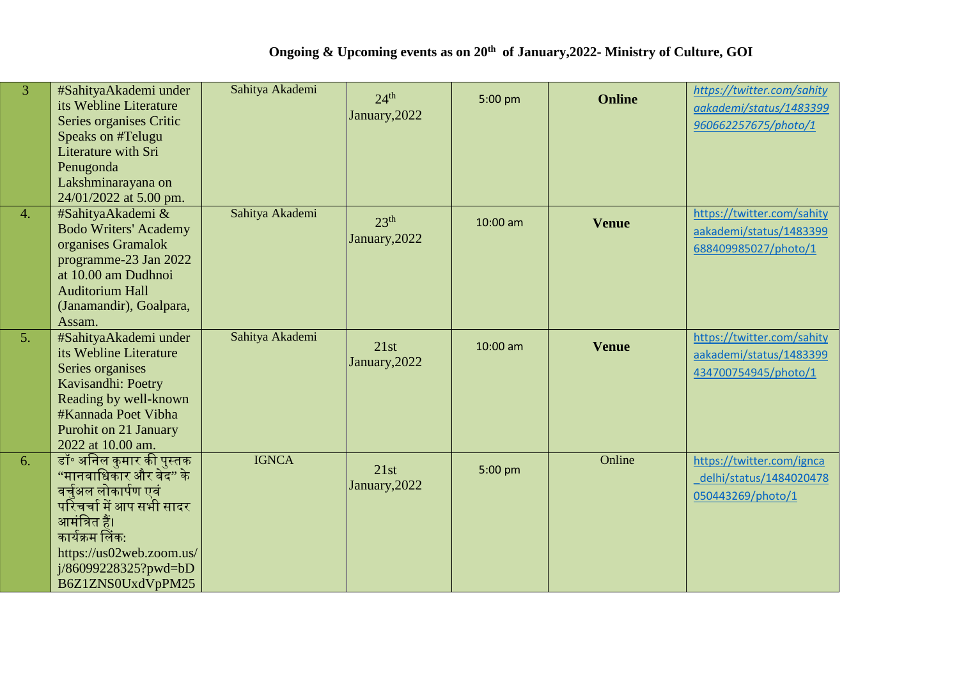| $\overline{3}$ | #SahityaAkademi under<br>its Webline Literature<br>Series organises Critic<br>Speaks on #Telugu<br>Literature with Sri<br>Penugonda<br>Lakshminarayana on<br>24/01/2022 at 5.00 pm.                                      | Sahitya Akademi | 24 <sup>th</sup><br>January, 2022 | 5:00 pm    | <b>Online</b> | https://twitter.com/sahity<br>aakademi/status/1483399<br>960662257675/photo/1 |
|----------------|--------------------------------------------------------------------------------------------------------------------------------------------------------------------------------------------------------------------------|-----------------|-----------------------------------|------------|---------------|-------------------------------------------------------------------------------|
| 4.             | #SahityaAkademi &<br><b>Bodo Writers' Academy</b><br>organises Gramalok<br>programme-23 Jan 2022<br>at 10.00 am Dudhnoi<br><b>Auditorium Hall</b><br>(Janamandir), Goalpara,<br>Assam.                                   | Sahitya Akademi | 23 <sup>th</sup><br>January, 2022 | $10:00$ am | <b>Venue</b>  | https://twitter.com/sahity<br>aakademi/status/1483399<br>688409985027/photo/1 |
| 5.             | #SahityaAkademi under<br>its Webline Literature<br>Series organises<br>Kavisandhi: Poetry<br>Reading by well-known<br>#Kannada Poet Vibha<br>Purohit on 21 January<br>2022 at 10.00 am.                                  | Sahitya Akademi | 21st<br>January, 2022             | 10:00 am   | <b>Venue</b>  | https://twitter.com/sahity<br>aakademi/status/1483399<br>434700754945/photo/1 |
| 6.             | डॉ॰ अनिल कुमार की पुस्तक<br>''मानवाधिकार और वेद'' के<br>वर्चुअल लोकार्पण एवं<br>परिचर्चा में आप सभी सादर<br>आमंत्रित हैं।<br>कार्यक्रम लिंक:<br>https://us02web.zoom.us/<br>$i/86099228325?$ pwd=bD<br>B6Z1ZNS0UxdVpPM25 | <b>IGNCA</b>    | 21st<br>January, 2022             | 5:00 pm    | Online        | https://twitter.com/ignca<br>delhi/status/1484020478<br>050443269/photo/1     |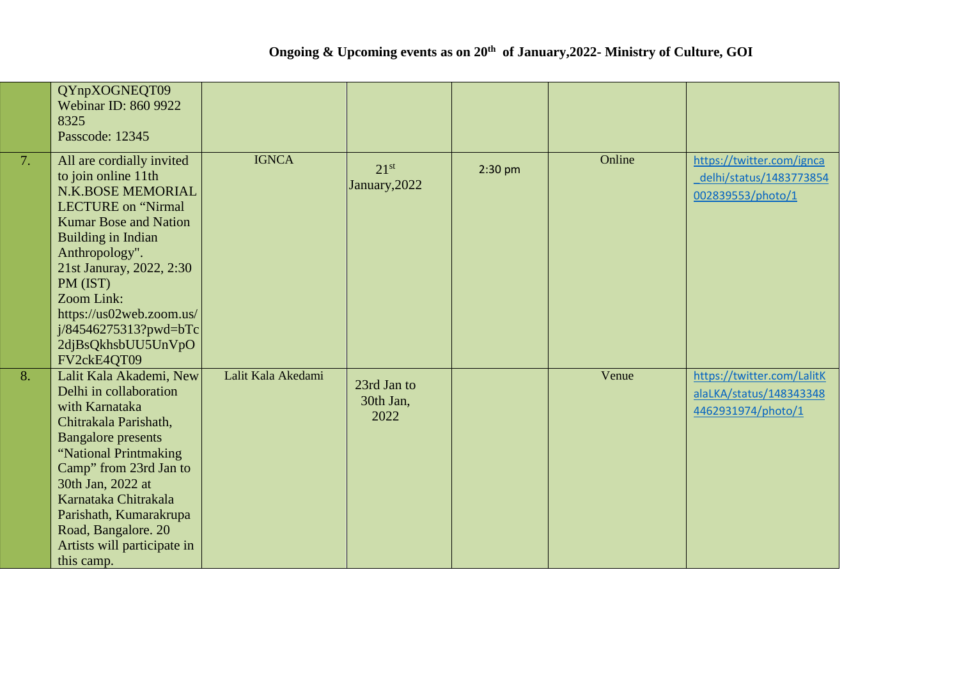|    | QYnpXOGNEQT09<br><b>Webinar ID: 860 9922</b><br>8325<br>Passcode: 12345                                                                                                                                                                                                                                                                       |                    |                                   |           |        |                                                                             |
|----|-----------------------------------------------------------------------------------------------------------------------------------------------------------------------------------------------------------------------------------------------------------------------------------------------------------------------------------------------|--------------------|-----------------------------------|-----------|--------|-----------------------------------------------------------------------------|
| 7. | All are cordially invited<br>to join online 11th<br><b>N.K.BOSE MEMORIAL</b><br><b>LECTURE</b> on "Nirmal<br><b>Kumar Bose and Nation</b><br>Building in Indian<br>Anthropology".<br>21st Januray, 2022, 2:30<br>PM (IST)<br>Zoom Link:<br>https://us02web.zoom.us/<br>$j/84546275313? \text{pwd} = bTc$<br>2djBsQkhsbUU5UnVpO<br>FV2ckE4QT09 | <b>IGNCA</b>       | 21 <sup>st</sup><br>January, 2022 | $2:30$ pm | Online | https://twitter.com/ignca<br>delhi/status/1483773854<br>002839553/photo/1   |
| 8. | Lalit Kala Akademi, New<br>Delhi in collaboration<br>with Karnataka<br>Chitrakala Parishath,<br><b>Bangalore</b> presents<br>"National Printmaking<br>Camp" from 23rd Jan to<br>30th Jan, 2022 at<br>Karnataka Chitrakala<br>Parishath, Kumarakrupa<br>Road, Bangalore. 20<br>Artists will participate in<br>this camp.                       | Lalit Kala Akedami | 23rd Jan to<br>30th Jan,<br>2022  |           | Venue  | https://twitter.com/LalitK<br>alaLKA/status/148343348<br>4462931974/photo/1 |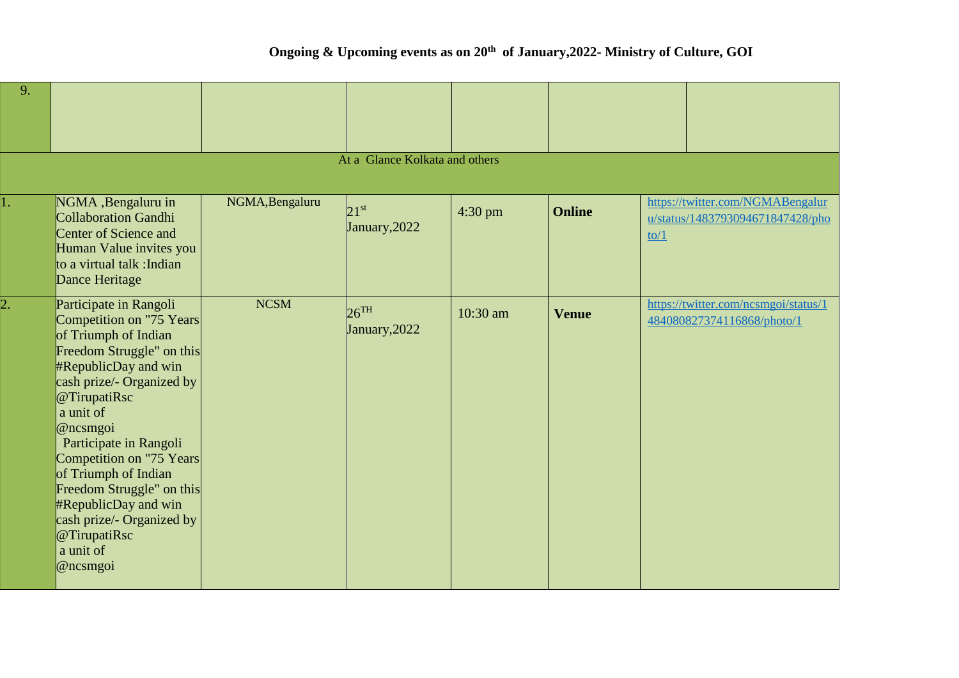## **Ongoing & Upcoming events as on 20th of January,2022- Ministry of Culture, GOI**

| 9.               |                                                                                                                                                                                                                                                                                                                                                                                                                       |                 |                                     |           |               |                |                                                                      |
|------------------|-----------------------------------------------------------------------------------------------------------------------------------------------------------------------------------------------------------------------------------------------------------------------------------------------------------------------------------------------------------------------------------------------------------------------|-----------------|-------------------------------------|-----------|---------------|----------------|----------------------------------------------------------------------|
|                  |                                                                                                                                                                                                                                                                                                                                                                                                                       |                 | At a Glance Kolkata and others      |           |               |                |                                                                      |
| 1.               | NGMA, Bengaluru in<br><b>Collaboration Gandhi</b><br><b>Center of Science and</b><br>Human Value invites you<br>to a virtual talk : Indian<br>Dance Heritage                                                                                                                                                                                                                                                          | NGMA, Bengaluru | $2.1$ st<br>January, 2022           | $4:30$ pm | <b>Online</b> | $\frac{to}{1}$ | https://twitter.com/NGMABengalur<br>u/status/1483793094671847428/pho |
| $\overline{2}$ . | Participate in Rangoli<br>Competition on "75 Years<br>of Triumph of Indian<br>Freedom Struggle" on this<br><b>#RepublicDay and win</b><br>cash prize/- Organized by<br>@TirupatiRsc<br>a unit of<br>@ncsmgoi<br>Participate in Rangoli<br>Competition on "75 Years<br>of Triumph of Indian<br>Freedom Struggle" on this<br>#RepublicDay and win<br>cash prize/- Organized by<br>@TirupatiRsc<br>a unit of<br>@ncsmgoi | <b>NCSM</b>     | $26$ <sup>TH</sup><br>January, 2022 | 10:30 am  | <b>Venue</b>  |                | https://twitter.com/ncsmgoi/status/1<br>484080827374116868/photo/1   |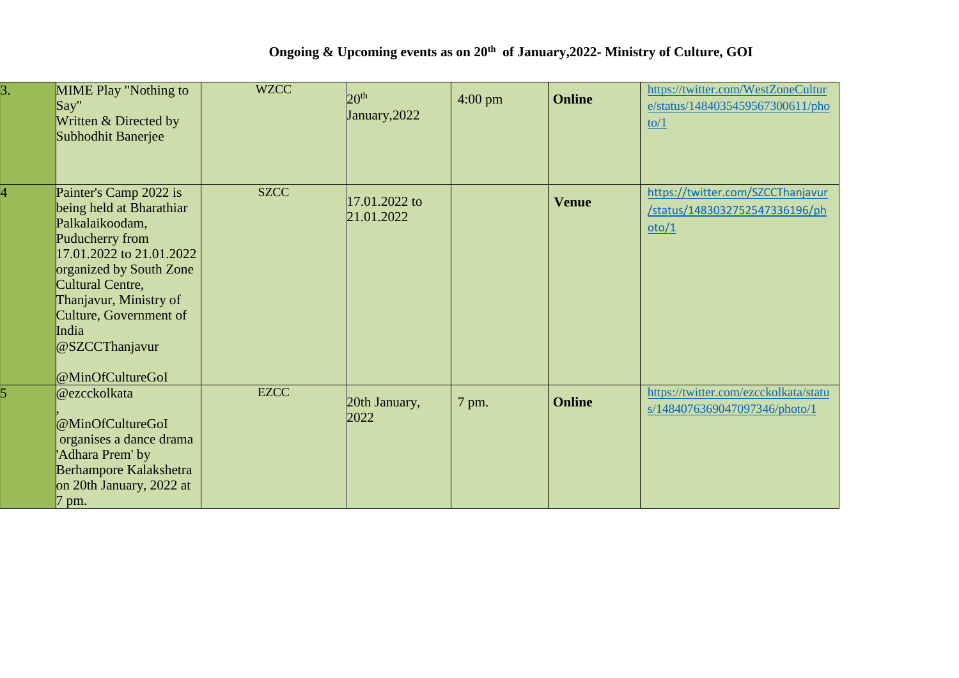| $\overline{3}$ . | <b>MIME Play "Nothing to</b><br>Say''<br>Written & Directed by<br>Subhodhit Banerjee                                                                                                                                                                                   | <b>WZCC</b> | 20 <sup>th</sup><br>January, 2022 | $4:00 \text{ pm}$ | <b>Online</b> | https://twitter.com/WestZoneCultur<br>e/status/1484035459567300611/pho<br>$\frac{10}{1}$ |
|------------------|------------------------------------------------------------------------------------------------------------------------------------------------------------------------------------------------------------------------------------------------------------------------|-------------|-----------------------------------|-------------------|---------------|------------------------------------------------------------------------------------------|
|                  | Painter's Camp 2022 is<br>being held at Bharathiar<br>Palkalaikoodam,<br>Puducherry from<br>17.01.2022 to 21.01.2022<br>organized by South Zone<br>Cultural Centre,<br>Thanjavur, Ministry of<br>Culture, Government of<br>India<br>@SZCCThanjavur<br>@MinOfCultureGoI | <b>SZCC</b> | 17.01.2022 to<br>21.01.2022       |                   | <b>Venue</b>  | https://twitter.com/SZCCThanjavur<br>/status/1483032752547336196/ph<br>oto/1             |
|                  | @ezcckolkata<br>@MinOfCultureGoI<br>organises a dance drama<br>'Adhara Prem' by<br>Berhampore Kalakshetra<br>on 20th January, 2022 at<br>$7 \text{ pm}$ .                                                                                                              | <b>EZCC</b> | 20th January,<br>2022             | 7 pm.             | <b>Online</b> | https://twitter.com/ezcckolkata/statu<br>s/1484076369047097346/photo/1                   |